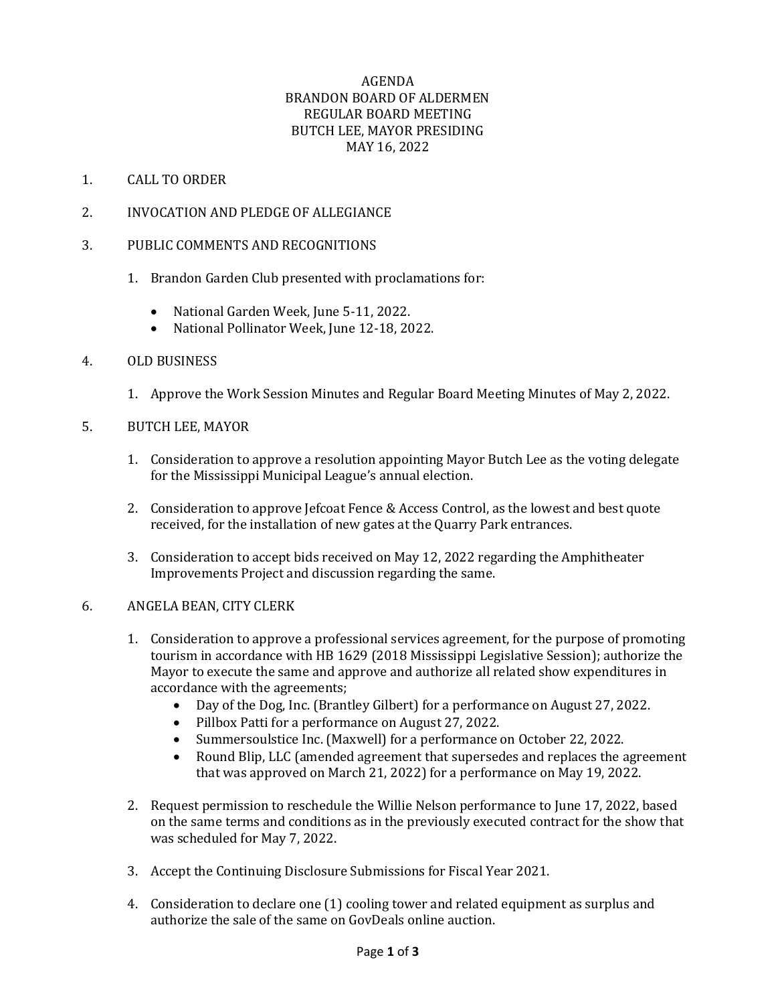# AGENDA BRANDON BOARD OF ALDERMEN REGULAR BOARD MEETING BUTCH LEE, MAYOR PRESIDING MAY 16, 2022

## 1. CALL TO ORDER

- 2. INVOCATION AND PLEDGE OF ALLEGIANCE
- 3. PUBLIC COMMENTS AND RECOGNITIONS
	- 1. Brandon Garden Club presented with proclamations for:
		- National Garden Week, June 5-11, 2022.
		- National Pollinator Week, June 12-18, 2022.

## 4. OLD BUSINESS

- 1. Approve the Work Session Minutes and Regular Board Meeting Minutes of May 2, 2022.
- 5. BUTCH LEE, MAYOR
	- 1. Consideration to approve a resolution appointing Mayor Butch Lee as the voting delegate for the Mississippi Municipal League's annual election.
	- 2. Consideration to approve Jefcoat Fence & Access Control, as the lowest and best quote received, for the installation of new gates at the Quarry Park entrances.
	- 3. Consideration to accept bids received on May 12, 2022 regarding the Amphitheater Improvements Project and discussion regarding the same.

## 6. ANGELA BEAN, CITY CLERK

- 1. Consideration to approve a professional services agreement, for the purpose of promoting tourism in accordance with HB 1629 (2018 Mississippi Legislative Session); authorize the Mayor to execute the same and approve and authorize all related show expenditures in accordance with the agreements;
	- Day of the Dog, Inc. (Brantley Gilbert) for a performance on August 27, 2022.
	- Pillbox Patti for a performance on August 27, 2022.
	- Summersoulstice Inc. (Maxwell) for a performance on October 22, 2022.
	- Round Blip, LLC (amended agreement that supersedes and replaces the agreement that was approved on March 21, 2022) for a performance on May 19, 2022.
- 2. Request permission to reschedule the Willie Nelson performance to June 17, 2022, based on the same terms and conditions as in the previously executed contract for the show that was scheduled for May 7, 2022.
- 3. Accept the Continuing Disclosure Submissions for Fiscal Year 2021.
- 4. Consideration to declare one (1) cooling tower and related equipment as surplus and authorize the sale of the same on GovDeals online auction.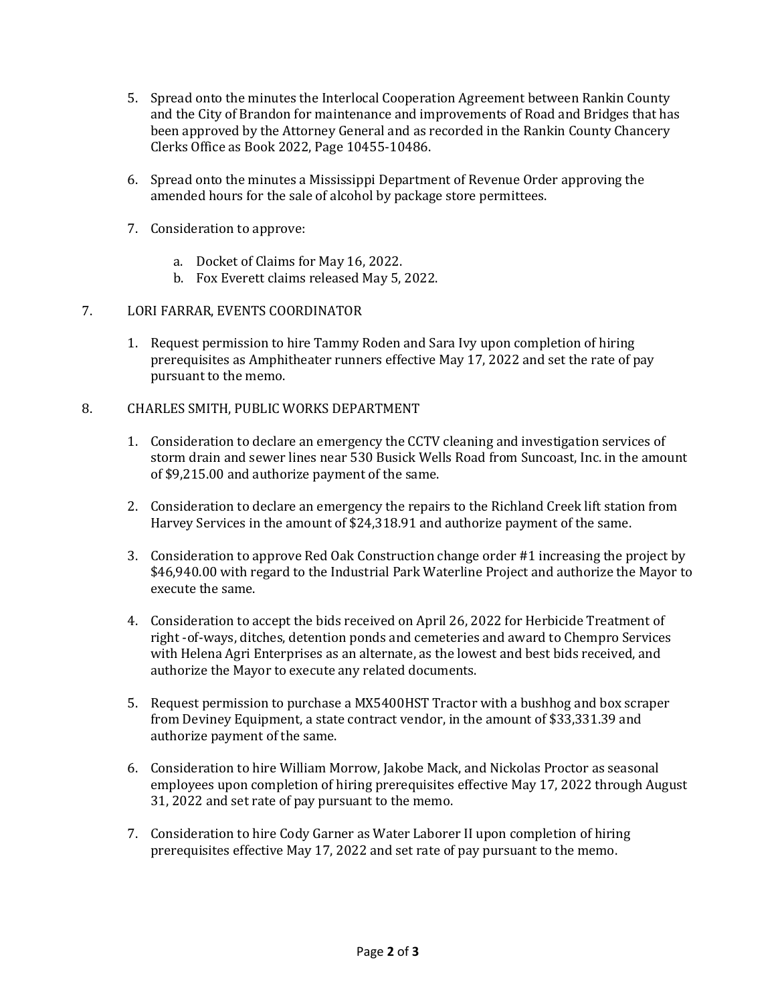- 5. Spread onto the minutes the Interlocal Cooperation Agreement between Rankin County and the City of Brandon for maintenance and improvements of Road and Bridges that has been approved by the Attorney General and as recorded in the Rankin County Chancery Clerks Office as Book 2022, Page 10455-10486.
- 6. Spread onto the minutes a Mississippi Department of Revenue Order approving the amended hours for the sale of alcohol by package store permittees.
- 7. Consideration to approve:
	- a. Docket of Claims for May 16, 2022.
	- b. Fox Everett claims released May 5, 2022.

## 7. LORI FARRAR, EVENTS COORDINATOR

1. Request permission to hire Tammy Roden and Sara Ivy upon completion of hiring prerequisites as Amphitheater runners effective May 17, 2022 and set the rate of pay pursuant to the memo.

## 8. CHARLES SMITH, PUBLIC WORKS DEPARTMENT

- 1. Consideration to declare an emergency the CCTV cleaning and investigation services of storm drain and sewer lines near 530 Busick Wells Road from Suncoast, Inc. in the amount of \$9,215.00 and authorize payment of the same.
- 2. Consideration to declare an emergency the repairs to the Richland Creek lift station from Harvey Services in the amount of \$24,318.91 and authorize payment of the same.
- 3. Consideration to approve Red Oak Construction change order #1 increasing the project by \$46,940.00 with regard to the Industrial Park Waterline Project and authorize the Mayor to execute the same.
- 4. Consideration to accept the bids received on April 26, 2022 for Herbicide Treatment of right -of-ways, ditches, detention ponds and cemeteries and award to Chempro Services with Helena Agri Enterprises as an alternate, as the lowest and best bids received, and authorize the Mayor to execute any related documents.
- 5. Request permission to purchase a MX5400HST Tractor with a bushhog and box scraper from Deviney Equipment, a state contract vendor, in the amount of \$33,331.39 and authorize payment of the same.
- 6. Consideration to hire William Morrow, Jakobe Mack, and Nickolas Proctor as seasonal employees upon completion of hiring prerequisites effective May 17, 2022 through August 31, 2022 and set rate of pay pursuant to the memo.
- 7. Consideration to hire Cody Garner as Water Laborer II upon completion of hiring prerequisites effective May 17, 2022 and set rate of pay pursuant to the memo.